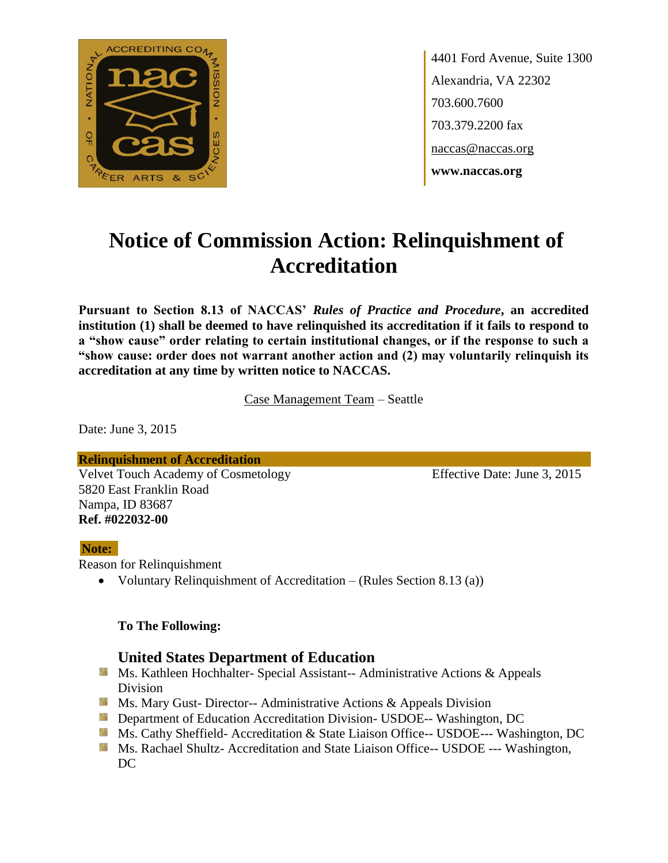

4401 Ford Avenue, Suite 1300 Alexandria, VA 22302 703.600.7600 703.379.2200 fax naccas@naccas.org **www.naccas.org**

# **Notice of Commission Action: Relinquishment of Accreditation**

**Pursuant to Section 8.13 of NACCAS'** *Rules of Practice and Procedure***, an accredited institution (1) shall be deemed to have relinquished its accreditation if it fails to respond to a "show cause" order relating to certain institutional changes, or if the response to such a "show cause: order does not warrant another action and (2) may voluntarily relinquish its accreditation at any time by written notice to NACCAS.**

Case Management Team – Seattle

Date: June 3, 2015

**Relinquishment of Accreditation** Velvet Touch Academy of Cosmetology Effective Date: June 3, 2015 5820 East Franklin Road Nampa, ID 83687 **Ref. #022032-00**

#### **Note:**

Reason for Relinquishment

Voluntary Relinquishment of Accreditation – (Rules Section 8.13 (a))

#### **To The Following:**

### **United States Department of Education**

- **Ms. Kathleen Hochhalter- Special Assistant-- Administrative Actions & Appeals** Division
- **Ms. Mary Gust- Director-- Administrative Actions & Appeals Division**
- **Department of Education Accreditation Division- USDOE-- Washington, DC**
- Ms. Cathy Sheffield- Accreditation & State Liaison Office-- USDOE--- Washington, DC
- **MS. Rachael Shultz- Accreditation and State Liaison Office-- USDOE --- Washington,** DC